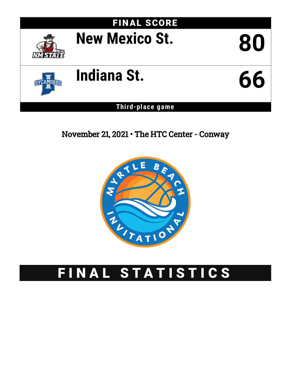

**Third-place game**

November 21, 2021 • The HTC Center - Conway



# FINAL STATISTICS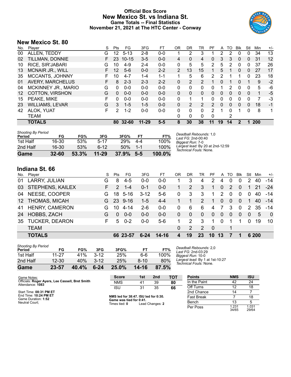## **Official Box Score New Mexico St. vs Indiana St. Game Totals -- Final Statistics November 21, 2021 at The HTC Center - Conway**



## **New Mexico St. 80**

| No. | Player                  | S  | Pts      | FG        | 3FG       | FT      | 0R             | DR       | TR             | PF            | A  | TO       | <b>B</b> lk  | Stl          | Min | $+/-$ |
|-----|-------------------------|----|----------|-----------|-----------|---------|----------------|----------|----------------|---------------|----|----------|--------------|--------------|-----|-------|
| 00  | ALLEN, TEDDY            | G  | 12       | $5 - 13$  | 2-8       | $0-0$   |                | 2        | 3              |               | 2  | 2        | $\Omega$     | 0            | 34  | 13    |
| 02  | TILLMAN, DONNIE         | F  | 23.      | $10 - 15$ | $3 - 5$   | $0 - 0$ | 4              | 0        | 4              | 0             | 3  | 3        | $\mathbf{0}$ | $\mathbf{0}$ | 31  | 12    |
| 10  | RICE, SIR'JABARI        | G  | 10       | $4-9$     | 2-4       | $0 - 0$ | 0              | 5        | 5              | 2             | 5  | 2        | 0            | 0            | 37  | 26    |
| 13  | <b>MCNAIR JR., WILL</b> | F. | 12       | $5-6$     | $0 - 0$   | $2 - 2$ | $\overline{2}$ | 13       | 15             |               | 5  |          | $\Omega$     | 0            | 27  | 17    |
| 35  | MCCANTS, JOHNNY         | F. | 10       | $4 - 7$   | 1-4       | $1 - 1$ |                | 5        | 6              | 2             | 2  |          |              | 0            | 23  | 18    |
| 01  | <b>AVERY, MARCHELUS</b> |    | 8        | $2 - 3$   | $2 - 3$   | $2 - 2$ | 0              | 2        | $\overline{2}$ |               | 0  |          | 0            |              | 9   | $-2$  |
| 04  | MCKINNEY JR., MARIO     | G  | 0        | $0 - 0$   | $0 - 0$   | $0 - 0$ | 0              | 0        | 0              | 0             | 1  | 2        | $\Omega$     | 0            | 5   | -6    |
| 12  | <b>COTTON, VIRSHON</b>  | G  | $\Omega$ | $0 - 0$   | $0 - 0$   | $0 - 0$ | $\Omega$       | $\Omega$ | $\Omega$       | 0             | 0  | $\Omega$ | $\Omega$     | 0            | 1   | -5    |
| 15  | PEAKE, MIKE             | F  | 0        | $0 - 0$   | $0 - 0$   | $0 - 0$ | 0              | 1        |                | 0             | 0  | 0        | $\Omega$     | $\Omega$     | 7   | -3    |
| 23  | <b>WILLIAMS, LEVAR</b>  | G  | 3        | $1 - 5$   | $1-5$     | $0 - 0$ | 0              | 2        | 2              | $\mathcal{P}$ | 0  | 0        | $\Omega$     | $\mathbf{0}$ | 18  | -1    |
| 42  | <b>ALOK, YUAT</b>       | F  | 2        | $1 - 2$   | 0-0       | $0 - 0$ | 0              | $\Omega$ | 0              | 2             |    | 0        |              | 0            | 8   | 1     |
|     | <b>TEAM</b>             |    |          |           |           |         | 0              | 0        | 0              | 0             |    | 2        |              |              |     |       |
|     | <b>TOTALS</b>           |    | 80       | $32 - 60$ | $11 - 29$ | $5 - 5$ | 8              | 30       | 38             | 11            | 19 | 14       | $\mathbf{2}$ | 1            | 200 |       |

| Game                                | $32 - 60$ | 53.3% | $11 - 29$ | 37.9%      | $5 - 5$ | $100.0\%$ |                                                            |
|-------------------------------------|-----------|-------|-----------|------------|---------|-----------|------------------------------------------------------------|
| 2nd Half                            | 16-30     | 53%   | $6 - 12$  | 50%        | $1 - 1$ | 100%      | Largest lead: By 20 at 2nd-12:59<br>Technical Fouls: None. |
| 1st Half                            | 16-30     | 53%   | $5 - 17$  | <b>29%</b> | $4-4$   | 100%      | Biggest Run: 7-0                                           |
| <b>Shooting By Period</b><br>Period | FG        | FG%   | 3FG       | 3FG%       | FТ      | FT%       | Deadball Rebounds: 1,0<br>Last FG: 2nd-00:40               |

# **Indiana St. 66**

| No. | Player                | S  | <b>Pts</b> | FG.      | 3FG      | FT      | OR       | DR       | TR            | PF.            | A            | TO            | <b>B</b> lk | Stl         | Min   | $+/-$          |
|-----|-----------------------|----|------------|----------|----------|---------|----------|----------|---------------|----------------|--------------|---------------|-------------|-------------|-------|----------------|
| 01  | LARRY, JULIAN         | G  | 8          | $4 - 5$  | $0-0$    | $0 - 0$ |          | 3        | 4             | 2              | 4            | 0             | $\Omega$    | 2           | 40    | $-14$          |
|     | 03 STEPHENS, KAILEX   |    | 2          | $1 - 4$  | $0 - 1$  | $0-0$   |          | 2        | 3             | 1              | $\mathbf{0}$ | $\mathcal{P}$ | $\Omega$    | 1           | -21   | $-24$          |
| 04  | NEESE, COOPER         | G  | 18.        | 5-16     | $3 - 12$ | $5-6$   | 0        | 3        | 3             | 1              | 2            | 0             | $\Omega$    | $\Omega$    | 40    | -14            |
|     | 12 THOMAS, MICAH      | G. |            | 23 9-16  | $1 - 5$  | $4 - 4$ |          |          | $\mathcal{P}$ | 1              | $\Omega$     | $\Omega$      | $\Omega$    | $\mathbf 1$ | 40    | $-14$          |
| 41  | <b>HENRY, CAMERON</b> | G  | 10         | 4-14     | $2 - 6$  | $0 - 0$ | $\Omega$ | 6        | 6             | $\overline{4}$ | - 7          | 3             | 0           | 2           | 35    | -14            |
| 24  | HOBBS, ZACH           | G  | $\Omega$   | $0 - 0$  | $0 - 0$  | $0 - 0$ | $\Omega$ | $\Omega$ | $\Omega$      | $\Omega$       | $\Omega$     | $\Omega$      | $\Omega$    | $\Omega$    | 5     | $\overline{0}$ |
| 35  | <b>TUCKER, DEARON</b> | F. | 5          | $0 - 2$  | $0 - 0$  | $5-6$   |          | 2        | 3             | 1              | $\Omega$     |               |             | $\Omega$    | 19    | 10             |
|     | <b>TEAM</b>           |    |            |          |          |         | 0        | 2        | 2             | - 0            |              | 1             |             |             |       |                |
|     | <b>TOTALS</b>         |    |            | 66 23-57 | 6-24     | 14-16   | 4        | 19       | 23            | 10             | 13           |               |             |             | 6 200 |                |

| Game                                | 23-57     | 40.4% | $6 - 24$ | $25.0\%$   | 14-16 | 87.5% |
|-------------------------------------|-----------|-------|----------|------------|-------|-------|
| 2nd Half                            | $12 - 30$ | 40%   | $3-12$   | 25%        | 8-10  | 80%   |
| 1st Half                            | 11-27     | 41%   | $3-12$   | <b>25%</b> | 6-6   | 100%  |
| <b>Shooting By Period</b><br>Period | FG        | FG%   | 3FG      | 3FG%       | FT    | FT%   |

*Deadball Rebounds:* 2,0 *Last FG:* 2nd-03:29 *Biggest Run:* 10-0 *Largest lead:* By 1 at 1st-10:27 *Technical Fouls:* None.

| Game Notes:                                                         | <b>Score</b>                             | 1st | 2nd             | <b>TOT</b> | <b>Points</b>     | <b>NMS</b>     | <b>ISU</b>     |
|---------------------------------------------------------------------|------------------------------------------|-----|-----------------|------------|-------------------|----------------|----------------|
| Officials: Roger Ayers, Lee Cassell, Bret Smith<br>Attendance: 1083 | <b>NMS</b>                               | 41  | 39              | 80         | In the Paint      | 42             | 24             |
|                                                                     | isu                                      | 31  | 35              | 66         | Off Turns         | 12             | 18             |
| Start Time: 08:31 PM ET                                             |                                          |     |                 |            | 2nd Chance        | 14             |                |
| End Time: 10:24 PM ET<br>Game Duration: 1:52                        | NMS led for 38:47. ISU led for 0:30.     |     |                 |            | <b>Fast Break</b> |                | 18             |
| Neutral Court:                                                      | Game was tied for 0:41.<br>Times tied: 0 |     | Lead Changes: 2 |            | Bench             | 13             |                |
|                                                                     |                                          |     |                 |            | Per Poss          | 1.231<br>34/65 | 1.031<br>29/64 |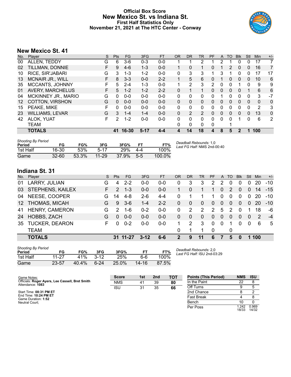## **Official Box Score New Mexico St. vs Indiana St. First Half Statistics Only November 21, 2021 at The HTC Center - Conway**



# **New Mexico St. 41**

| No. | Plaver                  | S  | <b>Pts</b> | <b>FG</b> | 3FG      | <b>FT</b> | <b>OR</b> | DR       | <b>TR</b> | PF | A | TO            | <b>Blk</b>   | Stl          | Min            | $+/-$ |
|-----|-------------------------|----|------------|-----------|----------|-----------|-----------|----------|-----------|----|---|---------------|--------------|--------------|----------------|-------|
| 00  | ALLEN, TEDDY            | G  | 6          | $3-6$     | $0 - 3$  | $0-0$     |           |          | 2         |    | 2 |               |              | 0            | 17             | 7     |
| 02  | TILLMAN, DONNIE         | F  | 9          | $4-6$     | $1 - 3$  | $0-0$     |           | 0        | 1         | 0  |   | $\mathcal{P}$ | 0            | $\mathbf{0}$ | 16             | 7     |
| 10  | RICE, SIR'JABARI        | G  | 3          | $1 - 3$   | $1-2$    | $0 - 0$   | 0         | 3        | 3         |    | 3 |               | 0            | 0            | 17             | 17    |
| 13  | <b>MCNAIR JR., WILL</b> | F  | 8          | $3 - 3$   | $0 - 0$  | $2 - 2$   |           | 5        | 6         | 0  |   | 0             | $\Omega$     | 0            | 10             | 6     |
| 35  | MCCANTS, JOHNNY         | F. | 5          | $2 - 4$   | 1-3      | $0 - 0$   |           | 2        | 3         | 2  | 0 | 0             |              | 0            | 9              | 9     |
| 01  | <b>AVERY, MARCHELUS</b> | F. | 5          | $1 - 2$   | $1 - 2$  | $2 - 2$   | 0         |          |           | 0  | 0 | 0             | $\Omega$     |              | 6              | 6     |
| 04  | MCKINNEY JR., MARIO     | G  | 0          | $0 - 0$   | $0 - 0$  | $0 - 0$   | 0         | 0        | 0         | 0  |   | 0             | 0            | 0            | 3              | $-7$  |
| 12  | <b>COTTON, VIRSHON</b>  | G  | $\Omega$   | $0 - 0$   | $0 - 0$  | $0 - 0$   | $\Omega$  | $\Omega$ | $\Omega$  | 0  | 0 | $\Omega$      | $\Omega$     | $\Omega$     | $\mathbf{0}$   | 0     |
| 15  | PEAKE, MIKE             |    | 0          | $0 - 0$   | $0 - 0$  | $0 - 0$   | 0         | 0        | 0         | 0  | 0 | 0             | 0            | 0            | $\overline{2}$ | 3     |
| 23  | <b>WILLIAMS, LEVAR</b>  | G  | 3          | $1 - 4$   | $1 - 4$  | $0 - 0$   | 0         | 2        | 2         | 0  | 0 | $\Omega$      | $\mathbf{0}$ | 0            | 13             | 0     |
| 42  | <b>ALOK, YUAT</b>       | F  | 2          | $1 - 2$   | 0-0      | $0 - 0$   | 0         | 0        | $\Omega$  | 0  | 0 | 0             |              | 0            | 6              | 2     |
|     | TEAM                    |    |            |           |          |           | 0         | 0        | 0         | 0  |   |               |              |              |                |       |
|     | <b>TOTALS</b>           |    | 41         | 16-30     | $5 - 17$ | 4-4       | 4         | 14       | 18        | 4  | 8 | 5             | 2            | 1            | 100            |       |

| <b>Shooting By Period</b><br>Period | FG        | FG%   | 3FG       | 3FG%  | FТ    | FT%    | Deadball Rebounds: 1,0<br>Last FG Half: NMS 2nd-00:40 |
|-------------------------------------|-----------|-------|-----------|-------|-------|--------|-------------------------------------------------------|
| 1st Half                            | 16-30     | 53%   | 5-17      | 29%   | 4-4   | 100%   |                                                       |
| Game                                | $32 - 60$ | 53.3% | $11 - 29$ | 37.9% | $5-5$ | 100.0% |                                                       |

# **Indiana St. 31**

| No.              | Player                  | S  | <b>Pts</b>    | <b>FG</b> | 3FG     | <b>FT</b> | <b>OR</b> | <b>DR</b> | <b>TR</b>     | <b>PF</b>     |          | A TO          | <b>BIK</b> | Stl          | Min | $+/-$     |
|------------------|-------------------------|----|---------------|-----------|---------|-----------|-----------|-----------|---------------|---------------|----------|---------------|------------|--------------|-----|-----------|
| 01               | LARRY, JULIAN           | G  | 4             | $2 - 2$   | $0-0$   | $0 - 0$   | 0         | 3         | 3             | 2             | 2        | 0             |            | 0            | 20  | $-10$     |
| 03               | <b>STEPHENS, KAILEX</b> | F. | $\mathcal{P}$ | $1 - 3$   | $0 - 0$ | $0-0$     |           | $\Omega$  |               | 1             | $\Omega$ | $\mathcal{P}$ | $\Omega$   | $\Omega$     | 14  | $-15$     |
| 04               | NEESE, COOPER           | G  | 14            | 4-8       | $2 - 6$ | $4 - 4$   | 0         |           |               |               | $\Omega$ | $\Omega$      | $\Omega$   | $\mathbf{0}$ | 20  | $-10$     |
| 12 <sup>12</sup> | <b>THOMAS, MICAH</b>    | G  | 9             | $3-6$     | $1 - 4$ | $2 - 2$   | 0         | $\Omega$  | $\Omega$      | $\Omega$      | $\Omega$ | $\Omega$      | $\Omega$   | $\Omega$     | 20  | $-10^{-}$ |
| 41               | <b>HENRY, CAMERON</b>   | G  | $\mathcal{P}$ | $1 - 6$   | $0 - 2$ | $0 - 0$   | 0         | 2         | $\mathcal{P}$ | $\mathcal{P}$ | 5        | $\mathcal{P}$ | $\Omega$   |              | 18  | -6        |
| 24               | HOBBS, ZACH             | G  | $\Omega$      | $0 - 0$   | $0 - 0$ | $0-0$     | 0         | $\Omega$  | $\Omega$      | $\Omega$      | $\Omega$ | $\Omega$      | $\Omega$   | $\Omega$     | 2   | $-4$      |
| 35               | <b>TUCKER, DEARON</b>   | F. | $\Omega$      | $0 - 2$   | $0 - 0$ | $0-0$     |           | 2         | 3             | $\Omega$      | $\Omega$ |               |            | 0            | 6   | 5         |
|                  | <b>TEAM</b>             |    |               |           |         |           | 0         |           |               | $\Omega$      |          | 0             |            |              |     |           |
|                  | <b>TOTALS</b>           |    |               | 31 11-27  | $3-12$  | 6-6       | 2         | 9         | 11            | 6             | 7        | 5             | $\bf{0}$   | 1            | 100 |           |

| <b>Shooting By Period</b><br>Period | FG    | FG%   | 3FG    | 3FG%  | FT    | FT%   |
|-------------------------------------|-------|-------|--------|-------|-------|-------|
| 1st Half                            | 11-27 | 41%   | $3-12$ | 25%   | 6-6   | 100%  |
| Game                                | 23-57 | 40.4% | $6-24$ | 25.0% | 14-16 | 87.5% |

*Deadball Rebounds:* 2,0 *Last FG Half:* ISU 2nd-03:29

| Game Notes:                                                         | <b>Score</b> | 1st | 2 <sub>nd</sub> | тот | <b>Points (This Period)</b> | <b>NMS</b>     | <b>ISU</b>     |
|---------------------------------------------------------------------|--------------|-----|-----------------|-----|-----------------------------|----------------|----------------|
| Officials: Roger Ayers, Lee Cassell, Bret Smith<br>Attendance: 1083 | <b>NMS</b>   | 41  | 39              | 80  | In the Paint                |                |                |
|                                                                     | <b>ISU</b>   | 31  | 35              | 66  | Off Turns                   |                |                |
| Start Time: 08:31 PM ET                                             |              |     |                 |     | 2nd Chance                  |                |                |
| End Time: 10:24 PM ET<br>Game Duration: 1:52                        |              |     |                 |     | <b>Fast Break</b>           |                |                |
| Neutral Court:                                                      |              |     |                 |     | Bench                       |                |                |
|                                                                     |              |     |                 |     | Per Poss                    | 1.242<br>18/33 | 0.969<br>14/32 |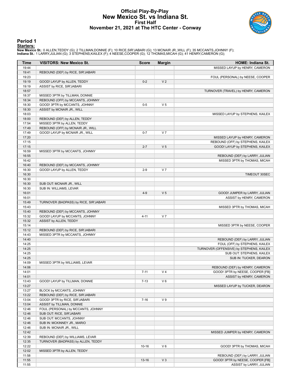## **Official Play-By-Play New Mexico St. vs Indiana St. First Half November 21, 2021 at The HTC Center - Conway**



#### **Period 1**

#### **Starters:**

New Mexico St.: 0 ALLEN,TEDDY (G); 2 TILLMAN,DONNIE (F); 10 RICE,SIR'JABARI (G); 13 MCNAIR JR.,WILL (F); 35 MCCANTS,JOHNNY (F);<br>Indiana St.: 1 LARRY,JULIAN (G); 3 STEPHENS,KAILEX (F); 4 NEESE,COOPER (G); 12 THOMAS,MICAH (G

| Time           | <b>VISITORS: New Mexico St.</b>                              | <b>Score</b> | <b>Margin</b>  | HOME: Indiana St.                                                |
|----------------|--------------------------------------------------------------|--------------|----------------|------------------------------------------------------------------|
| 19:44          |                                                              |              |                | MISSED LAYUP by HENRY, CAMERON                                   |
| 19:41          | REBOUND (DEF) by RICE, SIR'JABARI                            |              |                |                                                                  |
| 19:23          |                                                              |              |                | FOUL (PERSONAL) by NEESE, COOPER                                 |
| 19:19          | GOOD! LAYUP by ALLEN, TEDDY                                  | $0 - 2$      | V <sub>2</sub> |                                                                  |
| 19:19          | ASSIST by RICE, SIR'JABARI                                   |              |                |                                                                  |
| 18:57          |                                                              |              |                | TURNOVER (TRAVEL) by HENRY, CAMERON                              |
| 18:37          | MISSED 3PTR by TILLMAN, DONNIE                               |              |                |                                                                  |
| 18:34          | REBOUND (OFF) by MCCANTS, JOHNNY                             |              |                |                                                                  |
| 18:30          | GOOD! 3PTR by MCCANTS, JOHNNY                                | $0 - 5$      | V <sub>5</sub> |                                                                  |
| 18:30          | ASSIST by MCNAIR JR., WILL                                   |              |                |                                                                  |
| 18:03<br>18:00 |                                                              |              |                | MISSED LAYUP by STEPHENS, KAILEX                                 |
| 17:54          | REBOUND (DEF) by ALLEN, TEDDY<br>MISSED 3PTR by ALLEN, TEDDY |              |                |                                                                  |
| 17:49          | REBOUND (OFF) by MCNAIR JR., WILL                            |              |                |                                                                  |
| 17:49          | GOOD! LAYUP by MCNAIR JR., WILL                              | $0 - 7$      | V <sub>7</sub> |                                                                  |
| 17:20          |                                                              |              |                | MISSED LAYUP by HENRY, CAMERON                                   |
| 17:15          |                                                              |              |                | REBOUND (OFF) by STEPHENS, KAILEX                                |
| 17:15          |                                                              | $2 - 7$      | V <sub>5</sub> | GOOD! LAYUP by STEPHENS, KAILEX                                  |
| 16:59          | MISSED 3PTR by MCCANTS, JOHNNY                               |              |                |                                                                  |
| 16:55          |                                                              |              |                | REBOUND (DEF) by LARRY, JULIAN                                   |
| 16:42          |                                                              |              |                | MISSED 3PTR by THOMAS, MICAH                                     |
| 16:40          | REBOUND (DEF) by MCCANTS, JOHNNY                             |              |                |                                                                  |
| 16:30          | GOOD! LAYUP by ALLEN, TEDDY                                  | $2-9$        | V <sub>7</sub> |                                                                  |
| 16:30          |                                                              |              |                | TIMEOUT 30SEC                                                    |
| 16:30          |                                                              |              |                |                                                                  |
| 16:30          | SUB OUT: MCNAIR JR., WILL                                    |              |                |                                                                  |
| 16:30          | SUB IN: WILLIAMS, LEVAR                                      |              |                |                                                                  |
| 16:01          |                                                              | $4 - 9$      | V <sub>5</sub> | GOOD! JUMPER by LARRY, JULIAN                                    |
| 16:01          |                                                              |              |                | ASSIST by HENRY, CAMERON                                         |
| 15:49          | TURNOVER (BADPASS) by RICE, SIR'JABARI                       |              |                |                                                                  |
| 15:43          |                                                              |              |                | MISSED 3PTR by THOMAS, MICAH                                     |
| 15:40          | REBOUND (DEF) by MCCANTS, JOHNNY                             |              |                |                                                                  |
| 15:32          | GOOD! LAYUP by MCCANTS, JOHNNY                               | $4 - 11$     | V <sub>7</sub> |                                                                  |
| 15:32          | ASSIST by ALLEN, TEDDY                                       |              |                |                                                                  |
| 15:14          |                                                              |              |                | MISSED 3PTR by NEESE, COOPER                                     |
| 15:12          | REBOUND (DEF) by RICE, SIR'JABARI                            |              |                |                                                                  |
| 14:43<br>14:40 | MISSED 3PTR by MCCANTS, JOHNNY                               |              |                |                                                                  |
| 14:25          |                                                              |              |                | REBOUND (DEF) by LARRY, JULIAN<br>FOUL (OFF) by STEPHENS, KAILEX |
| 14:25          |                                                              |              |                | TURNOVER (OFFENSIVE) by STEPHENS, KAILEX                         |
| 14:25          |                                                              |              |                | SUB OUT: STEPHENS, KAILEX                                        |
| 14:25          |                                                              |              |                | SUB IN: TUCKER, DEARON                                           |
| 14:09          | MISSED 3PTR by WILLIAMS, LEVAR                               |              |                |                                                                  |
| 14:06          |                                                              |              |                | REBOUND (DEF) by HENRY, CAMERON                                  |
| 14:01          |                                                              | 7-11         | V 4            | GOOD! 3PTR by NEESE, COOPER [FB]                                 |
| 14:01          |                                                              |              |                | ASSIST by HENRY, CAMERON                                         |
| 13:43          | GOOD! LAYUP by TILLMAN, DONNIE                               | $7 - 13$     | $V_6$          |                                                                  |
| 13:27          |                                                              |              |                | MISSED LAYUP by TUCKER, DEARON                                   |
| 13:27          | BLOCK by MCCANTS, JOHNNY                                     |              |                |                                                                  |
| 13:22          | REBOUND (DEF) by RICE, SIR'JABARI                            |              |                |                                                                  |
| 13:04          | GOOD! 3PTR by RICE, SIR'JABARI                               | $7 - 16$     | V <sub>9</sub> |                                                                  |
| 13:04          | ASSIST by TILLMAN, DONNIE                                    |              |                |                                                                  |
| 12:46          | FOUL (PERSONAL) by MCCANTS, JOHNNY                           |              |                |                                                                  |
| 12:46          | SUB OUT: RICE, SIR'JABARI                                    |              |                |                                                                  |
| 12:46          | SUB OUT: MCCANTS, JOHNNY                                     |              |                |                                                                  |
| 12:46          | SUB IN: MCKINNEY JR., MARIO                                  |              |                |                                                                  |
| 12:46          | SUB IN: MCNAIR JR., WILL                                     |              |                |                                                                  |
| 12:42          |                                                              |              |                | MISSED JUMPER by HENRY, CAMERON                                  |
| 12:39          | REBOUND (DEF) by WILLIAMS, LEVAR                             |              |                |                                                                  |
| 12:35          | TURNOVER (BADPASS) by ALLEN, TEDDY                           |              |                |                                                                  |
| 12:22          |                                                              | $10 - 16$    | $V_6$          | GOOD! 3PTR by THOMAS, MICAH                                      |
| 12:02          | MISSED 3PTR by ALLEN, TEDDY                                  |              |                |                                                                  |
| 11:58          |                                                              |              |                | REBOUND (DEF) by LARRY, JULIAN                                   |
| 11:55          |                                                              | $13 - 16$    | $V_3$          | GOOD! 3PTR by NEESE, COOPER [FB]                                 |
| 11:55          |                                                              |              |                | ASSIST by LARRY, JULIAN                                          |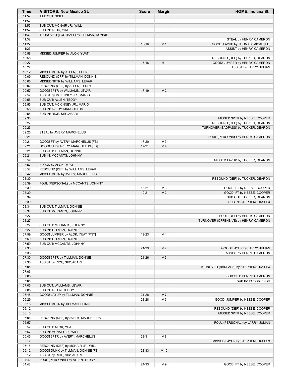| Time           | <b>VISITORS: New Mexico St.</b>        | <b>Score</b> | <b>Margin</b>  | <b>HOME: Indiana St.</b>                                          |
|----------------|----------------------------------------|--------------|----------------|-------------------------------------------------------------------|
| 11:52          | TIMEOUT 30SEC                          |              |                |                                                                   |
| 11:52          |                                        |              |                |                                                                   |
| 11:52          | SUB OUT: MCNAIR JR., WILL              |              |                |                                                                   |
| 11:52          | SUB IN: ALOK, YUAT                     |              |                |                                                                   |
| 11:32          | TURNOVER (LOSTBALL) by TILLMAN, DONNIE |              |                |                                                                   |
| 11:32          |                                        |              |                | STEAL by HENRY, CAMERON                                           |
| 11:27          |                                        | $15 - 16$    | V <sub>1</sub> | GOOD! LAYUP by THOMAS, MICAH [FB]                                 |
| 11:27          |                                        |              |                | ASSIST by HENRY, CAMERON                                          |
| 10:58          | MISSED JUMPER by ALOK, YUAT            |              |                |                                                                   |
| 10:55<br>10:27 |                                        | $17-16$      | H <sub>1</sub> | REBOUND (DEF) by TUCKER, DEARON<br>GOOD! JUMPER by HENRY, CAMERON |
| 10:27          |                                        |              |                | ASSIST by LARRY, JULIAN                                           |
| 10:12          | MISSED 3PTR by ALLEN, TEDDY            |              |                |                                                                   |
| 10:09          | REBOUND (OFF) by TILLMAN, DONNIE       |              |                |                                                                   |
| 10:05          | MISSED 3PTR by WILLIAMS, LEVAR         |              |                |                                                                   |
| 10:02          | REBOUND (OFF) by ALLEN, TEDDY          |              |                |                                                                   |
| 09:57          | GOOD! 3PTR by WILLIAMS, LEVAR          | $17-19$      | V <sub>2</sub> |                                                                   |
| 09:57          | ASSIST by MCKINNEY JR., MARIO          |              |                |                                                                   |
| 09:55          | SUB OUT: ALLEN, TEDDY                  |              |                |                                                                   |
| 09:55          | SUB OUT: MCKINNEY JR., MARIO           |              |                |                                                                   |
| 09:55          | SUB IN: AVERY, MARCHELUS               |              |                |                                                                   |
| 09:55          | SUB IN: RICE, SIR'JABARI               |              |                |                                                                   |
| 09:30          |                                        |              |                | MISSED 3PTR by NEESE, COOPER                                      |
| 09:27          |                                        |              |                | REBOUND (OFF) by TUCKER, DEARON                                   |
| 09:25          |                                        |              |                | TURNOVER (BADPASS) by TUCKER, DEARON                              |
| 09:25          | STEAL by AVERY, MARCHELUS              |              |                |                                                                   |
| 09:21          |                                        |              |                | FOUL (PERSONAL) by HENRY, CAMERON                                 |
| 09:21          | GOOD! FT by AVERY, MARCHELUS [FB]      | 17-20        | $V_3$          |                                                                   |
| 09:21          | GOOD! FT by AVERY, MARCHELUS [FB]      | $17 - 21$    | V <sub>4</sub> |                                                                   |
| 09:21          | SUB OUT: TILLMAN, DONNIE               |              |                |                                                                   |
| 09:21          | SUB IN: MCCANTS, JOHNNY                |              |                |                                                                   |
| 08:57          |                                        |              |                | MISSED LAYUP by TUCKER, DEARON                                    |
| 08:57          | BLOCK by ALOK, YUAT                    |              |                |                                                                   |
| 08:52          | REBOUND (DEF) by WILLIAMS, LEVAR       |              |                |                                                                   |
| 08:42          | MISSED 3PTR by AVERY, MARCHELUS        |              |                |                                                                   |
| 08:39          |                                        |              |                | REBOUND (DEF) by TUCKER, DEARON                                   |
| 08:39          | FOUL (PERSONAL) by MCCANTS, JOHNNY     |              |                |                                                                   |
| 08:39          |                                        | 18-21        | $V_3$          | GOOD! FT by NEESE, COOPER                                         |
| 08:39          |                                        | $19 - 21$    | V <sub>2</sub> | GOOD! FT by NEESE, COOPER                                         |
| 08:39<br>08:39 |                                        |              |                | SUB OUT: TUCKER, DEARON<br>SUB IN: STEPHENS, KAILEX               |
| 08:34          | SUB OUT: TILLMAN, DONNIE               |              |                |                                                                   |
| 08:34          | SUB IN: MCCANTS, JOHNNY                |              |                |                                                                   |
| 08:27          |                                        |              |                | FOUL (OFF) by HENRY, CAMERON                                      |
| 08:27          |                                        |              |                | TURNOVER (OFFENSIVE) by HENRY, CAMERON                            |
| 08:27          | SUB OUT: MCCANTS, JOHNNY               |              |                |                                                                   |
| 08:27          | SUB IN: TILLMAN, DONNIE                |              |                |                                                                   |
| 07:59          | GOOD! JUMPER by ALOK, YUAT [PNT]       | 19-23        | V <sub>4</sub> |                                                                   |
| 07:59          | SUB IN: TILLMAN, DONNIE                |              |                |                                                                   |
| 07:59          | SUB OUT: MCCANTS, JOHNNY               |              |                |                                                                   |
| 07:38          |                                        | $21 - 23$    | V <sub>2</sub> | GOOD! LAYUP by LARRY, JULIAN                                      |
| 07:38          |                                        |              |                | ASSIST by HENRY, CAMERON                                          |
| 07:30          | GOOD! 3PTR by TILLMAN, DONNIE          | $21 - 26$    | V <sub>5</sub> |                                                                   |
| 07:30          | ASSIST by RICE, SIR'JABARI             |              |                |                                                                   |
| 07:05          |                                        |              |                | TURNOVER (BADPASS) by STEPHENS, KAILEX                            |
| 07:05          |                                        |              |                |                                                                   |
| 07:05          |                                        |              |                | SUB OUT: HENRY, CAMERON                                           |
| 07:05          |                                        |              |                | SUB IN: HOBBS, ZACH                                               |
| 07:05          | SUB OUT: WILLIAMS, LEVAR               |              |                |                                                                   |
| 07:05          | SUB IN: ALLEN, TEDDY                   |              |                |                                                                   |
| 06:48          | GOOD! LAYUP by TILLMAN, DONNIE         | 21-28        | V <sub>7</sub> |                                                                   |
| 06:29          |                                        | 23-28        | V <sub>5</sub> | GOOD! JUMPER by NEESE, COOPER                                     |
| 06:15          | MISSED 3PTR by TILLMAN, DONNIE         |              |                |                                                                   |
| 06:12<br>06:10 |                                        |              |                | REBOUND (DEF) by NEESE, COOPER<br>MISSED 3PTR by NEESE, COOPER    |
| 06:06          | REBOUND (DEF) by AVERY, MARCHELUS      |              |                |                                                                   |
| 05:57          |                                        |              |                | FOUL (PERSONAL) by LARRY, JULIAN                                  |
| 05:57          | SUB OUT: ALOK, YUAT                    |              |                |                                                                   |
| 05:57          | SUB IN: MCNAIR JR., WILL               |              |                |                                                                   |
| 05:45          | GOOD! 3PTR by AVERY, MARCHELUS         | 23-31        | V8             |                                                                   |
| 05:17          |                                        |              |                | MISSED LAYUP by STEPHENS, KAILEX                                  |
| 05:15          | REBOUND (DEF) by MCNAIR JR., WILL      |              |                |                                                                   |
| 05:12          | GOOD! DUNK by TILLMAN, DONNIE [FB]     | 23-33        | $V$ 10         |                                                                   |
| 05:12          | ASSIST by RICE, SIR'JABARI             |              |                |                                                                   |
| 04:42          | FOUL (PERSONAL) by ALLEN, TEDDY        |              |                |                                                                   |
| 04:42          |                                        | 24-33        | V <sub>9</sub> | GOOD! FT by NEESE, COOPER                                         |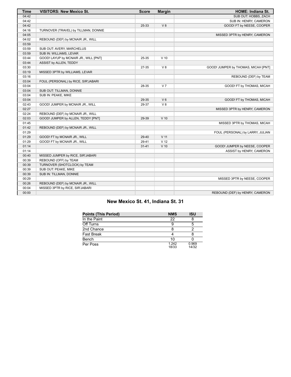| <b>Time</b> | <b>VISITORS: New Mexico St.</b>       | <b>Score</b> | <b>Margin</b>   | <b>HOME: Indiana St.</b>            |
|-------------|---------------------------------------|--------------|-----------------|-------------------------------------|
| 04:42       |                                       |              |                 | SUB OUT: HOBBS, ZACH                |
| 04:42       |                                       |              |                 | SUB IN: HENRY, CAMERON              |
| 04:42       |                                       | 25-33        | V8              | GOOD! FT by NEESE, COOPER           |
| 04:16       | TURNOVER (TRAVEL) by TILLMAN, DONNIE  |              |                 |                                     |
| 04:05       |                                       |              |                 | MISSED 3PTR by HENRY, CAMERON       |
| 04:02       | REBOUND (DEF) by MCNAIR JR., WILL     |              |                 |                                     |
| 03:59       |                                       |              |                 |                                     |
| 03:59       | SUB OUT: AVERY, MARCHELUS             |              |                 |                                     |
| 03:59       | SUB IN: WILLIAMS, LEVAR               |              |                 |                                     |
| 03:44       | GOOD! LAYUP by MCNAIR JR., WILL [PNT] | 25-35        | $V$ 10          |                                     |
| 03:44       | ASSIST by ALLEN, TEDDY                |              |                 |                                     |
| 03:30       |                                       | 27-35        | V8              | GOOD! JUMPER by THOMAS, MICAH [PNT] |
| 03:19       | MISSED 3PTR by WILLIAMS, LEVAR        |              |                 |                                     |
| 03:16       |                                       |              |                 | REBOUND (DEF) by TEAM               |
| 03:04       | FOUL (PERSONAL) by RICE, SIR'JABARI   |              |                 |                                     |
| 03:04       |                                       | 28-35        | V <sub>7</sub>  | GOOD! FT by THOMAS, MICAH           |
| 03:04       | SUB OUT: TILLMAN, DONNIE              |              |                 |                                     |
| 03:04       | SUB IN: PEAKE, MIKE                   |              |                 |                                     |
| 03:04       |                                       | 29-35        | $V_6$           | GOOD! FT by THOMAS, MICAH           |
| 02:43       | GOOD! JUMPER by MCNAIR JR., WILL      | 29-37        | V8              |                                     |
| 02:27       |                                       |              |                 | MISSED 3PTR by HENRY, CAMERON       |
| 02:24       | REBOUND (DEF) by MCNAIR JR., WILL     |              |                 |                                     |
| 02:03       | GOOD! JUMPER by ALLEN, TEDDY [PNT]    | 29-39        | $V$ 10          |                                     |
| 01:45       |                                       |              |                 | MISSED 3PTR by THOMAS, MICAH        |
| 01:42       | REBOUND (DEF) by MCNAIR JR., WILL     |              |                 |                                     |
| 01:29       |                                       |              |                 | FOUL (PERSONAL) by LARRY, JULIAN    |
| 01:29       | GOOD! FT by MCNAIR JR., WILL          | 29-40        | V <sub>11</sub> |                                     |
| 01:29       | GOOD! FT by MCNAIR JR., WILL          | 29-41        | V <sub>12</sub> |                                     |
| 01:14       |                                       | $31 - 41$    | $V$ 10          | GOOD! JUMPER by NEESE, COOPER       |
| 01:14       |                                       |              |                 | ASSIST by HENRY, CAMERON            |
| 00:40       | MISSED JUMPER by RICE, SIR'JABARI     |              |                 |                                     |
| 00:39       | REBOUND (OFF) by TEAM                 |              |                 |                                     |
| 00:39       | TURNOVER (SHOTCLOCK) by TEAM          |              |                 |                                     |
| 00:39       | SUB OUT: PEAKE, MIKE                  |              |                 |                                     |
| 00:39       | SUB IN: TILLMAN, DONNIE               |              |                 |                                     |
| 00:29       |                                       |              |                 | MISSED 3PTR by NEESE, COOPER        |
| 00:26       | REBOUND (DEF) by MCNAIR JR., WILL     |              |                 |                                     |
| 00:04       | MISSED 3PTR by RICE, SIR'JABARI       |              |                 |                                     |
| 00:00       |                                       |              |                 | REBOUND (DEF) by HENRY, CAMERON     |

# **New Mexico St. 41, Indiana St. 31**

| <b>Points (This Period)</b> | <b>NMS</b>     | ISU            |
|-----------------------------|----------------|----------------|
| In the Paint                | 22             |                |
| Off Turns                   |                |                |
| 2nd Chance                  |                |                |
| <b>Fast Break</b>           |                |                |
| Bench                       | 10             |                |
| Per Poss                    | 1.242<br>18/33 | 0.969<br>14/32 |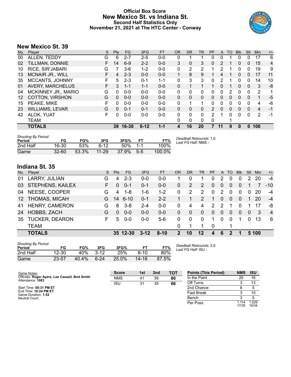## **Official Box Score New Mexico St. vs Indiana St. Second Half Statistics Only November 21, 2021 at The HTC Center - Conway**



## **New Mexico St. 39**

| No. | Plaver                     | S  | <b>Pts</b> | <b>FG</b> | 3FG      | <b>FT</b> | <b>OR</b> | DR.      | TR           | <b>PF</b>    | A              | TO       | <b>Blk</b>   | Stl          | Min            | $+/-$          |
|-----|----------------------------|----|------------|-----------|----------|-----------|-----------|----------|--------------|--------------|----------------|----------|--------------|--------------|----------------|----------------|
| 00  | ALLEN, TEDDY               | G  | 6          | $2 - 7$   | $2 - 5$  | $0 - 0$   | 0         | 1        |              | 0            | 0              |          | 0            | 0            | 17             | 6              |
| 02  | TILLMAN, DONNIE            | F. | 14         | $6-9$     | $2 - 2$  | $0 - 0$   | 3         | 0        | 3            | $\mathbf{0}$ | $\overline{2}$ |          | 0            | $\mathbf{0}$ | 15             | $\overline{4}$ |
| 10  | RICE, SIR'JABARI           | G  |            | $3-6$     | $1 - 2$  | $0 - 0$   | 0         | 2        | 2            |              | 2              |          | 0            | 0            | 19             | 9              |
| 13  | <b>MCNAIR JR., WILL</b>    | F  | 4          | $2 - 3$   | $0 - 0$  | $0 - 0$   | 1         | 8        | 9            | 1            | 4              |          | 0            | $\mathbf{0}$ | 17             | 11             |
| 35  | MCCANTS, JOHNNY            | F  | 5          | $2 - 3$   | $0 - 1$  | $1 - 1$   | 0         | 3        | 3            | 0            | 2              |          | 0            | 0            | 14             | 10             |
| 01  | <b>AVERY, MARCHELUS</b>    | F. | 3          | $1 - 1$   | $1 - 1$  | $0 - 0$   | 0         | 1        |              |              | 0              |          | 0            | $\mathbf{0}$ | 3              | -8             |
| 04  | <b>MCKINNEY JR., MARIO</b> | G  | 0          | $0 - 0$   | $0 - 0$  | $0 - 0$   | 0         | 0        | $\Omega$     | 0            | 0              | 2        | 0            | 0            | 2              | 1              |
| 12  | <b>COTTON, VIRSHON</b>     | G  | 0          | $0 - 0$   | $0 - 0$  | $0 - 0$   | 0         | 0        | $\mathbf{0}$ | 0            | 0              | 0        | 0            | 0            | 1              | -5             |
| 15  | PEAKE, MIKE                | F  | 0          | $0 - 0$   | $0 - 0$  | $0 - 0$   | 0         | 1        | -1           | $\Omega$     | 0              | $\Omega$ | $\Omega$     | 0            | 4              | -6             |
| 23  | <b>WILLIAMS, LEVAR</b>     | G  | $\Omega$   | $0 - 1$   | $0 - 1$  | $0 - 0$   | 0         | 0        | $\mathbf{0}$ | 2            | 0              | 0        | $\mathbf{0}$ | $\mathbf{0}$ | $\overline{4}$ | -1             |
| 42  | ALOK, YUAT                 | F  | 0          | $0-0$     | $0 - 0$  | $0 - 0$   | 0         | $\Omega$ | $\Omega$     | 2            | 1              | 0        | 0            | $\Omega$     | $\overline{2}$ | -1             |
|     | <b>TEAM</b>                |    |            |           |          |           | 0         | 0        | 0            | 0            |                |          |              |              |                |                |
|     | <b>TOTALS</b>              |    | 39         | 16-30     | $6 - 12$ | 1-1       | 4         | 16       | 20           |              | 11             | 9        | 0            | 0            | 100            |                |
|     |                            |    |            |           |          |           |           |          |              |              |                |          |              |              |                |                |

| <b>Shooting By Period</b><br>Period | FG        | FG%   | 3FG       | 3FG%  | FT.   | FT%    | Deadball Rebounds: 1,0<br>Last FG Half: NMS - |
|-------------------------------------|-----------|-------|-----------|-------|-------|--------|-----------------------------------------------|
| 2nd Half                            | 16-30     | .53%  | ิ 6-12    | 50%   | 1.1   | 100%   |                                               |
| Game                                | $32 - 60$ | 53.3% | $11 - 29$ | 37.9% | $5-5$ | 100.0% |                                               |

# **Indiana St. 35**

| No.             | Player                  | S  | <b>Pts</b> | FG.      | 3FG      | <b>FT</b> | OR            | <b>DR</b> | TR       | <b>PF</b>            | A              | TO             | <b>Blk</b> | Stl      | Min   | $+/-$          |
|-----------------|-------------------------|----|------------|----------|----------|-----------|---------------|-----------|----------|----------------------|----------------|----------------|------------|----------|-------|----------------|
| 01              | LARRY, JULIAN           | G  | 4          | $2 - 3$  | $0 - 0$  | $0-0$     |               |           |          | 0                    | 2              |                | 0          | 2        | 20    | $-4$           |
| 03              | <b>STEPHENS, KAILEX</b> | F. | 0          | $0 - 1$  | $0 - 1$  | $0-0$     | 0             | 2         | 2        | $\Omega$             | 0              | $\overline{0}$ | 0          |          |       | $-10$          |
| 04              | NEESE, COOPER           | G  | 4          | 1-8      | $1 - 6$  | $1 - 2$   | 0             | 2         | 2        | $\Omega$             | 2              | $\Omega$       | $\Omega$   | 0        | 20    | $-4$           |
| 12 <sup>°</sup> | <b>THOMAS, MICAH</b>    | G. | 14         | $6 - 10$ | $0 - 1$  | $2 - 2$   |               |           | 2        | $\blacktriangleleft$ | $\overline{0}$ | $\overline{0}$ | $\Omega$   |          | 20    | $-4$           |
| 41              | <b>HENRY, CAMERON</b>   | G  | 8          | $3 - 8$  | $2 - 4$  | $0-0$     | 0             | 4         | 4        | $\mathcal{P}$        | 2              |                |            |          | 17    | -8             |
| 24              | HOBBS, ZACH             | G  | 0          | $0 - 0$  | $0 - 0$  | $0 - 0$   | 0             | 0         | $\Omega$ | $\Omega$             | 0              | $\Omega$       | $\Omega$   | $\Omega$ | 3     | $\overline{4}$ |
| 35              | <b>TUCKER, DEARON</b>   | F. | 5          | $0 - 0$  | $0 - 0$  | $5-6$     | 0             | 0         | $\Omega$ | 1                    | $\Omega$       | $\Omega$       |            | $\Omega$ | 13    | -6             |
|                 | <b>TEAM</b>             |    |            |          |          |           | $\Omega$      |           |          | - 0                  |                |                |            |          |       |                |
|                 | <b>TOTALS</b>           |    |            | 35 12-30 | $3 - 12$ | $8 - 10$  | $\mathcal{P}$ | 10        | $12 \,$  | 4                    | 6              | 2              |            |          | 5 100 |                |

| <b>Shooting By Period</b> |           |       |          |       |           |       |
|---------------------------|-----------|-------|----------|-------|-----------|-------|
| Period                    | FG        | FG%   | 3FG      | 3FG%  | FТ        | FT%   |
| 2nd Half                  | $12 - 30$ | 40%   | $3-12$   | 25%   | $8-10$    | 80%   |
| Game                      | 23-57     | 40.4% | $6 - 24$ | 25.0% | $14 - 16$ | 87.5% |

*Deadball Rebounds:* 2,0 *Last FG Half:* ISU -

| Game Notes:                                                         | <b>Score</b> | 1st | 2 <sub>nd</sub> | <b>TOT</b> | <b>Points (This Period)</b> | <b>NMS</b>     | <b>ISU</b>     |
|---------------------------------------------------------------------|--------------|-----|-----------------|------------|-----------------------------|----------------|----------------|
| Officials: Roger Ayers, Lee Cassell, Bret Smith<br>Attendance: 1083 | <b>NMS</b>   | 41  | 39              | 80         | In the Paint                | 20             | 16             |
|                                                                     | <b>ISU</b>   | 31  | 35              | 66         | Off Turns                   |                | 13             |
| Start Time: 08:31 PM ET                                             |              |     |                 |            | 2nd Chance                  |                |                |
| End Time: 10:24 PM ET<br>Game Duration: 1:52                        |              |     |                 |            | <b>Fast Break</b>           |                | 10             |
| Neutral Court:                                                      |              |     |                 |            | Bench                       |                |                |
|                                                                     |              |     |                 |            | Per Poss                    | .114،<br>17/35 | 1.029<br>16/34 |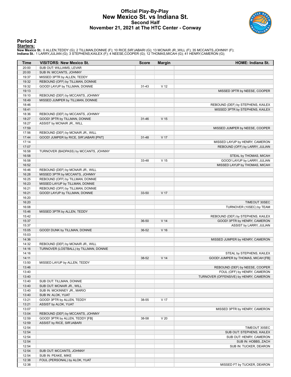## **Official Play-By-Play New Mexico St. vs Indiana St. Second Half November 21, 2021 at The HTC Center - Conway**



#### **Period 2**

**Starters:**

New Mexico St.: 0 ALLEN,TEDDY (G); 2 TILLMAN,DONNIE (F); 10 RICE,SIR'JABARI (G); 13 MCNAIR JR.,WILL (F); 35 MCCANTS,JOHNNY (F);<br>Indiana St.: 1 LARRY,JULIAN (G); 3 STEPHENS,KAILEX (F); 4 NEESE,COOPER (G); 12 THOMAS,MICAH (G

| Time           | <b>VISITORS: New Mexico St.</b>                      | <b>Score</b> | <b>Margin</b>   | <b>HOME: Indiana St.</b>               |
|----------------|------------------------------------------------------|--------------|-----------------|----------------------------------------|
| 20:00          | SUB OUT: WILLIAMS, LEVAR                             |              |                 |                                        |
| 20:00          | SUB IN: MCCANTS, JOHNNY                              |              |                 |                                        |
| 19:37          | MISSED 3PTR by ALLEN, TEDDY                          |              |                 |                                        |
| 19:32          | REBOUND (OFF) by TILLMAN, DONNIE                     |              |                 |                                        |
| 19:32          | GOOD! LAYUP by TILLMAN, DONNIE                       | $31 - 43$    | V <sub>12</sub> |                                        |
| 19:13          |                                                      |              |                 | MISSED 3PTR by NEESE, COOPER           |
| 19:10          | REBOUND (DEF) by MCCANTS, JOHNNY                     |              |                 |                                        |
| 18:49          | MISSED JUMPER by TILLMAN, DONNIE                     |              |                 |                                        |
| 18:46          |                                                      |              |                 | REBOUND (DEF) by STEPHENS, KAILEX      |
| 18:41<br>18:36 | REBOUND (DEF) by MCCANTS, JOHNNY                     |              |                 | MISSED 3PTR by STEPHENS, KAILEX        |
| 18:27          | GOOD! 3PTR by TILLMAN, DONNIE                        | $31 - 46$    | V <sub>15</sub> |                                        |
| 18:27          | ASSIST by MCNAIR JR., WILL                           |              |                 |                                        |
| 17:59          |                                                      |              |                 | MISSED JUMPER by NEESE, COOPER         |
| 17:56          | REBOUND (DEF) by MCNAIR JR., WILL                    |              |                 |                                        |
| 17:44          | GOOD! JUMPER by RICE, SIR'JABARI [PNT]               | 31-48        | V 17            |                                        |
| 17:14          |                                                      |              |                 | MISSED LAYUP by HENRY, CAMERON         |
| 17:07          |                                                      |              |                 | REBOUND (OFF) by LARRY, JULIAN         |
| 16:58          | TURNOVER (BADPASS) by MCCANTS, JOHNNY                |              |                 |                                        |
| 16:58          |                                                      |              |                 | STEAL by THOMAS, MICAH                 |
| 16:58          |                                                      | 33-48        | V <sub>15</sub> | GOOD! LAYUP by LARRY, JULIAN           |
| 16:52          |                                                      |              |                 | MISSED LAYUP by THOMAS, MICAH          |
| 16:46          | REBOUND (DEF) by MCNAIR JR., WILL                    |              |                 |                                        |
| 16:28          | MISSED 3PTR by MCCANTS, JOHNNY                       |              |                 |                                        |
| 16:25          | REBOUND (OFF) by TILLMAN, DONNIE                     |              |                 |                                        |
| 16:23          | MISSED LAYUP by TILLMAN, DONNIE                      |              |                 |                                        |
| 16:21          | REBOUND (OFF) by TILLMAN, DONNIE                     |              |                 |                                        |
| 16:21          | GOOD! LAYUP by TILLMAN, DONNIE                       | 33-50        | V 17            |                                        |
| 16:20          |                                                      |              |                 |                                        |
| 16:20          |                                                      |              |                 | TIMEOUT 30SEC                          |
| 16:08          |                                                      |              |                 | TURNOVER (10SEC) by TEAM               |
| 15:46          | MISSED 3PTR by ALLEN, TEDDY                          |              |                 |                                        |
| 15:42          |                                                      |              |                 | REBOUND (DEF) by STEPHENS, KAILEX      |
| 15:37<br>15:37 |                                                      | 36-50        | V <sub>14</sub> | GOOD! 3PTR by HENRY, CAMERON           |
| 15:05          | GOOD! DUNK by TILLMAN, DONNIE                        | 36-52        | $V$ 16          | ASSIST by LARRY, JULIAN                |
| 15:03          |                                                      |              |                 |                                        |
| 14:36          |                                                      |              |                 | MISSED JUMPER by HENRY, CAMERON        |
| 14:32          | REBOUND (DEF) by MCNAIR JR., WILL                    |              |                 |                                        |
| 14:16          | TURNOVER (LOSTBALL) by TILLMAN, DONNIE               |              |                 |                                        |
| 14:16          |                                                      |              |                 | STEAL by STEPHENS, KAILEX              |
| 14:11          |                                                      | 38-52        | V <sub>14</sub> | GOOD! JUMPER by THOMAS, MICAH [FB]     |
| 13:50          | MISSED LAYUP by ALLEN, TEDDY                         |              |                 |                                        |
| 13:46          |                                                      |              |                 | REBOUND (DEF) by NEESE, COOPER         |
| 13:40          |                                                      |              |                 | FOUL (OFF) by HENRY, CAMERON           |
| 13:40          |                                                      |              |                 | TURNOVER (OFFENSIVE) by HENRY, CAMERON |
| 13:40          | SUB OUT: TILLMAN, DONNIE                             |              |                 |                                        |
| 13:40          | SUB OUT: MCNAIR JR., WILL                            |              |                 |                                        |
| 13:40          | SUB IN: MCKINNEY JR., MARIO                          |              |                 |                                        |
| 13:40          | SUB IN: ALOK, YUAT                                   |              |                 |                                        |
| 13:21          | GOOD! 3PTR by ALLEN, TEDDY                           | 38-55        | V 17            |                                        |
| 13:21          | ASSIST by ALOK, YUAT                                 |              |                 |                                        |
| 13:07          |                                                      |              |                 | MISSED 3PTR by HENRY, CAMERON          |
| 13:04          | REBOUND (DEF) by MCCANTS, JOHNNY                     |              |                 |                                        |
| 12:59          | GOOD! 3PTR by ALLEN, TEDDY [FB]                      | 38-58        | V <sub>20</sub> |                                        |
| 12:59          | ASSIST by RICE, SIR'JABARI                           |              |                 |                                        |
| 12:54          |                                                      |              |                 | TIMEOUT 30SEC                          |
| 12:54          |                                                      |              |                 | SUB OUT: STEPHENS, KAILEX              |
| 12:54          |                                                      |              |                 | SUB OUT: HENRY, CAMERON                |
| 12:54          |                                                      |              |                 | SUB IN: HOBBS, ZACH                    |
| 12:54<br>12:54 |                                                      |              |                 | SUB IN: TUCKER, DEARON                 |
|                |                                                      |              |                 |                                        |
|                | SUB OUT: MCCANTS, JOHNNY                             |              |                 |                                        |
| 12:54<br>12:38 | SUB IN: PEAKE, MIKE<br>FOUL (PERSONAL) by ALOK, YUAT |              |                 |                                        |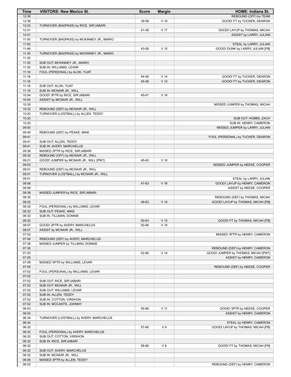| Time           | <b>VISITORS: New Mexico St.</b>                                       | <b>Score</b> | <b>Margin</b>   | <b>HOME: Indiana St.</b>            |
|----------------|-----------------------------------------------------------------------|--------------|-----------------|-------------------------------------|
| 12:38          |                                                                       |              |                 | <b>REBOUND (OFF) by TEAM</b>        |
| 12:38          |                                                                       | 39-58        | $V$ 19          | GOOD! FT by TUCKER, DEARON          |
| 12:23          | TURNOVER (BADPASS) by RICE, SIR'JABARI                                |              |                 |                                     |
| 12:01          |                                                                       | 41-58        | V <sub>17</sub> | GOOD! LAYUP by THOMAS, MICAH        |
| 12:01<br>11:50 | TURNOVER (BADPASS) by MCKINNEY JR., MARIO                             |              |                 | ASSIST by LARRY, JULIAN             |
| 11:50          |                                                                       |              |                 | STEAL by LARRY, JULIAN              |
| 11:46          |                                                                       | 43-58        | V <sub>15</sub> | GOOD! DUNK by LARRY, JULIAN [FB]    |
| 11:30          | TURNOVER (BADPASS) by MCKINNEY JR., MARIO                             |              |                 |                                     |
| 11:30          |                                                                       |              |                 |                                     |
| 11:30          | SUB OUT: MCKINNEY JR., MARIO                                          |              |                 |                                     |
| 11:30          | SUB IN: WILLIAMS, LEVAR                                               |              |                 |                                     |
| 11:16          | FOUL (PERSONAL) by ALOK, YUAT                                         |              |                 |                                     |
| 11:16          |                                                                       | 44-58        | V <sub>14</sub> | GOOD! FT by TUCKER, DEARON          |
| 11:16          |                                                                       | 45-58        | V <sub>13</sub> | GOOD! FT by TUCKER, DEARON          |
| 11:16<br>11:16 | SUB OUT: ALOK, YUAT<br>SUB IN: MCNAIR JR., WILL                       |              |                 |                                     |
| 10:54          | GOOD! 3PTR by RICE, SIR'JABARI                                        | 45-61        | V <sub>16</sub> |                                     |
| 10:54          | ASSIST by MCNAIR JR., WILL                                            |              |                 |                                     |
| 10:35          |                                                                       |              |                 | MISSED JUMPER by THOMAS, MICAH      |
| 10:32          | REBOUND (DEF) by MCNAIR JR., WILL                                     |              |                 |                                     |
| 10:20          | TURNOVER (LOSTBALL) by ALLEN, TEDDY                                   |              |                 |                                     |
| 10:20          |                                                                       |              |                 | SUB OUT: HOBBS, ZACH                |
| 10:20          |                                                                       |              |                 | SUB IN: HENRY, CAMERON              |
| 09:50          |                                                                       |              |                 | MISSED JUMPER by LARRY, JULIAN      |
| 09:45          | REBOUND (DEF) by PEAKE, MIKE                                          |              |                 |                                     |
| 09:41<br>09:41 | SUB OUT: ALLEN, TEDDY                                                 |              |                 | FOUL (PERSONAL) by TUCKER, DEARON   |
| 09:41          | SUB IN: AVERY, MARCHELUS                                              |              |                 |                                     |
| 09:36          | MISSED 3PTR by RICE, SIR'JABARI                                       |              |                 |                                     |
| 09:32          | REBOUND (OFF) by MCNAIR JR., WILL                                     |              |                 |                                     |
| 09:21          | GOOD! JUMPER by MCNAIR JR., WILL [PNT]                                | 45-63        | V <sub>18</sub> |                                     |
| 09:03          |                                                                       |              |                 | MISSED JUMPER by NEESE, COOPER      |
| 09:01          | REBOUND (DEF) by MCNAIR JR., WILL                                     |              |                 |                                     |
| 09:01          | TURNOVER (LOSTBALL) by MCNAIR JR., WILL                               |              |                 |                                     |
| 09:01          |                                                                       |              |                 | STEAL by LARRY, JULIAN              |
| 08:58          |                                                                       | 47-63        | V <sub>16</sub> | GOOD! LAYUP by HENRY, CAMERON       |
| 08:58          |                                                                       |              |                 | ASSIST by NEESE, COOPER             |
| 08:38<br>08:35 | MISSED JUMPER by RICE, SIR'JABARI                                     |              |                 | REBOUND (DEF) by THOMAS, MICAH      |
| 08:32          |                                                                       | 49-63        | V <sub>14</sub> | GOOD! LAYUP by THOMAS, MICAH [FB]   |
| 08:32          | FOUL (PERSONAL) by WILLIAMS, LEVAR                                    |              |                 |                                     |
| 08:32          | SUB OUT: PEAKE, MIKE                                                  |              |                 |                                     |
| 08:32          | SUB IN: TILLMAN, DONNIE                                               |              |                 |                                     |
| 08:32          |                                                                       | 50-63        | V <sub>13</sub> | GOOD! FT by THOMAS, MICAH [FB]      |
| 08:07          | GOOD! 3PTR by AVERY, MARCHELUS                                        | 50-66        | V <sub>16</sub> |                                     |
| 08:07          | ASSIST by MCNAIR JR., WILL                                            |              |                 |                                     |
| 07:52          |                                                                       |              |                 | MISSED 3PTR by HENRY, CAMERON       |
| 07:49<br>07:38 | REBOUND (DEF) by AVERY, MARCHELUS<br>MISSED JUMPER by TILLMAN, DONNIE |              |                 |                                     |
| 07:35          |                                                                       |              |                 | REBOUND (DEF) by HENRY, CAMERON     |
| 07:25          |                                                                       | 52-66        | V <sub>14</sub> | GOOD! JUMPER by THOMAS, MICAH [PNT] |
| 07:25          |                                                                       |              |                 | ASSIST by HENRY, CAMERON            |
| 07:08          | MISSED 3PTR by WILLIAMS, LEVAR                                        |              |                 |                                     |
| 07:05          |                                                                       |              |                 | REBOUND (DEF) by NEESE, COOPER      |
| 07:02          | FOUL (PERSONAL) by WILLIAMS, LEVAR                                    |              |                 |                                     |
| 07:02          |                                                                       |              |                 |                                     |
| 07:02          | SUB OUT: RICE, SIR'JABARI                                             |              |                 |                                     |
| 07:02          | SUB OUT: MCNAIR JR., WILL                                             |              |                 |                                     |
| 07:02<br>07:02 | SUB OUT: WILLIAMS, LEVAR<br>SUB IN: ALLEN, TEDDY                      |              |                 |                                     |
| 07:02          | SUB IN: COTTON, VIRSHON                                               |              |                 |                                     |
| 07:02          | SUB IN: MCCANTS, JOHNNY                                               |              |                 |                                     |
| 06:53          |                                                                       | 55-66        | V <sub>11</sub> | GOOD! 3PTR by NEESE, COOPER         |
| 06:53          |                                                                       |              |                 | ASSIST by HENRY, CAMERON            |
| 06:34          | TURNOVER (LOSTBALL) by AVERY, MARCHELUS                               |              |                 |                                     |
| 06:34          |                                                                       |              |                 | STEAL by HENRY, CAMERON             |
| 06:32          |                                                                       | 57-66        | V <sub>9</sub>  | GOOD! LAYUP by THOMAS, MICAH [FB]   |
| 06:32<br>06:32 | FOUL (PERSONAL) by AVERY, MARCHELUS<br>SUB OUT: COTTON, VIRSHON       |              |                 |                                     |
| 06:32          | SUB IN: RICE, SIR'JABARI                                              |              |                 |                                     |
| 06:32          |                                                                       | 58-66        | V8              | GOOD! FT by THOMAS, MICAH [FB]      |
| 06:32          | SUB OUT: AVERY, MARCHELUS                                             |              |                 |                                     |
| 06:32          | SUB IN: MCNAIR JR., WILL                                              |              |                 |                                     |
| 06:06          | MISSED 3PTR by ALLEN, TEDDY                                           |              |                 |                                     |
| 06:02          |                                                                       |              |                 | REBOUND (DEF) by HENRY, CAMERON     |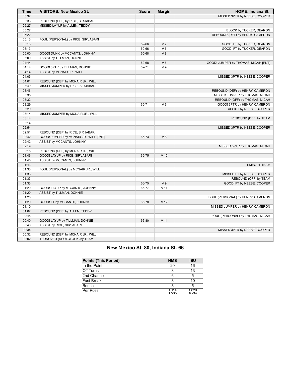| Time  | <b>VISITORS: New Mexico St.</b>        | <b>Score</b> | <b>Margin</b>   | <b>HOME: Indiana St.</b>            |
|-------|----------------------------------------|--------------|-----------------|-------------------------------------|
| 05:37 |                                        |              |                 | MISSED 3PTR by NEESE, COOPER        |
| 05:33 | REBOUND (DEF) by RICE, SIR'JABARI      |              |                 |                                     |
| 05:27 | MISSED LAYUP by ALLEN, TEDDY           |              |                 |                                     |
| 05:27 |                                        |              |                 | BLOCK by TUCKER, DEARON             |
| 05:22 |                                        |              |                 | REBOUND (DEF) by HENRY, CAMERON     |
| 05:13 | FOUL (PERSONAL) by RICE, SIR'JABARI    |              |                 |                                     |
| 05:13 |                                        | 59-66        | V <sub>7</sub>  | GOOD! FT by TUCKER, DEARON          |
| 05:13 |                                        | 60-66        | $V_6$           | GOOD! FT by TUCKER, DEARON          |
| 05:00 | GOOD! DUNK by MCCANTS, JOHNNY          | 60-68        | V8              |                                     |
| 05:00 | ASSIST by TILLMAN, DONNIE              |              |                 |                                     |
| 04:44 |                                        | 62-68        | $V_6$           | GOOD! JUMPER by THOMAS, MICAH [PNT] |
| 04:14 | GOOD! 3PTR by TILLMAN, DONNIE          | 62-71        | V <sub>9</sub>  |                                     |
| 04:14 | ASSIST by MCNAIR JR., WILL             |              |                 |                                     |
| 04:05 |                                        |              |                 | MISSED 3PTR by NEESE, COOPER        |
| 04:01 | REBOUND (DEF) by MCNAIR JR., WILL      |              |                 |                                     |
| 03:49 | MISSED JUMPER by RICE, SIR'JABARI      |              |                 |                                     |
| 03:46 |                                        |              |                 | REBOUND (DEF) by HENRY, CAMERON     |
| 03:35 |                                        |              |                 | MISSED JUMPER by THOMAS, MICAH      |
| 03:32 |                                        |              |                 | REBOUND (OFF) by THOMAS, MICAH      |
| 03:29 |                                        | 65-71        | $V_6$           | GOOD! 3PTR by HENRY, CAMERON        |
| 03:29 |                                        |              |                 | ASSIST by NEESE, COOPER             |
| 03:14 | MISSED JUMPER by MCNAIR JR., WILL      |              |                 |                                     |
| 03:14 |                                        |              |                 | REBOUND (DEF) by TEAM               |
| 03:14 |                                        |              |                 |                                     |
| 02:54 |                                        |              |                 | MISSED 3PTR by NEESE, COOPER        |
| 02:51 | REBOUND (DEF) by RICE, SIR'JABARI      |              |                 |                                     |
| 02:42 | GOOD! JUMPER by MCNAIR JR., WILL [PNT] | 65-73        | V8              |                                     |
| 02:42 | ASSIST by MCCANTS, JOHNNY              |              |                 |                                     |
| 02:19 |                                        |              |                 | MISSED 3PTR by THOMAS, MICAH        |
| 02:15 | REBOUND (DEF) by MCNAIR JR., WILL      |              |                 |                                     |
| 01:46 | GOOD! LAYUP by RICE, SIR'JABARI        | 65-75        | $V$ 10          |                                     |
| 01:46 | ASSIST by MCCANTS, JOHNNY              |              |                 |                                     |
| 01:43 |                                        |              |                 | <b>TIMEOUT TEAM</b>                 |
| 01:33 | FOUL (PERSONAL) by MCNAIR JR., WILL    |              |                 |                                     |
| 01:33 |                                        |              |                 | MISSED FT by NEESE, COOPER          |
| 01:33 |                                        |              |                 | REBOUND (OFF) by TEAM               |
| 01:33 |                                        | 66-75        | V <sub>9</sub>  | GOOD! FT by NEESE, COOPER           |
| 01:20 | GOOD! LAYUP by MCCANTS, JOHNNY         | 66-77        | V <sub>11</sub> |                                     |
| 01:20 | ASSIST by TILLMAN, DONNIE              |              |                 |                                     |
| 01:20 |                                        |              |                 | FOUL (PERSONAL) by HENRY, CAMERON   |
| 01:20 | GOOD! FT by MCCANTS, JOHNNY            | 66-78        | V <sub>12</sub> |                                     |
| 01:10 |                                        |              |                 | MISSED JUMPER by HENRY, CAMERON     |
| 01:07 | REBOUND (DEF) by ALLEN, TEDDY          |              |                 |                                     |
| 00:48 |                                        |              |                 | FOUL (PERSONAL) by THOMAS, MICAH    |
| 00:40 | GOOD! LAYUP by TILLMAN, DONNIE         | 66-80        | V <sub>14</sub> |                                     |
| 00:40 | ASSIST by RICE, SIR'JABARI             |              |                 |                                     |
| 00:34 |                                        |              |                 | MISSED 3PTR by NEESE, COOPER        |
| 00:32 | REBOUND (DEF) by MCNAIR JR., WILL      |              |                 |                                     |
| 00:02 | TURNOVER (SHOTCLOCK) by TEAM           |              |                 |                                     |

## **New Mexico St. 80, Indiana St. 66**

| <b>Points (This Period)</b> | <b>NMS</b>       | <b>ISU</b>     |
|-----------------------------|------------------|----------------|
| In the Paint                | 20               | 16             |
| Off Turns                   | ર                | 13             |
| 2nd Chance                  | հ                | 5              |
| <b>Fast Break</b>           | ર                | 10             |
| Bench                       | ર                | 5              |
| Per Poss                    | 1 1 1 4<br>17/35 | 1.029<br>16/34 |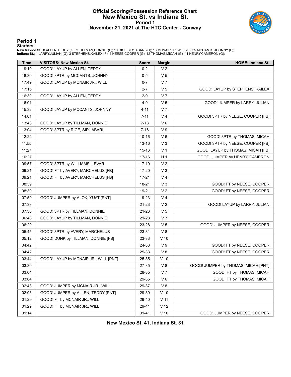## **Official Scoring/Possession Reference Chart New Mexico St. vs Indiana St. Period 1 November 21, 2021 at The HTC Center - Conway**



**Period 1**

#### **Starters:**

New Mexico St.: 0 ALLEN,TEDDY (G); 2 TILLMAN,DONNIE (F); 10 RICE,SIR'JABARI (G); 13 MCNAIR JR.,WILL (F); 35 MCCANTS,JOHNNY (F);<br>Indiana St.: 1 LARRY,JULIAN (G); 3 STEPHENS,KAILEX (F); 4 NEESE,COOPER (G); 12 THOMAS,MICAH (G

| Time  | <b>VISITORS: New Mexico St.</b>       | <b>Score</b> | <b>Margin</b>   | HOME: Indiana St.                   |
|-------|---------------------------------------|--------------|-----------------|-------------------------------------|
| 19:19 | GOOD! LAYUP by ALLEN, TEDDY           | $0 - 2$      | V <sub>2</sub>  |                                     |
| 18:30 | GOOD! 3PTR by MCCANTS, JOHNNY         | $0-5$        | V <sub>5</sub>  |                                     |
| 17:49 | GOOD! LAYUP by MCNAIR JR., WILL       | $0 - 7$      | V <sub>7</sub>  |                                     |
| 17:15 |                                       | $2 - 7$      | V <sub>5</sub>  | GOOD! LAYUP by STEPHENS, KAILEX     |
| 16:30 | GOOD! LAYUP by ALLEN, TEDDY           | $2-9$        | V <sub>7</sub>  |                                     |
| 16:01 |                                       | $4 - 9$      | V <sub>5</sub>  | GOOD! JUMPER by LARRY, JULIAN       |
| 15:32 | GOOD! LAYUP by MCCANTS, JOHNNY        | $4 - 11$     | V <sub>7</sub>  |                                     |
| 14:01 |                                       | $7 - 11$     | V 4             | GOOD! 3PTR by NEESE, COOPER [FB]    |
| 13:43 | GOOD! LAYUP by TILLMAN, DONNIE        | $7 - 13$     | $V_6$           |                                     |
| 13:04 | GOOD! 3PTR by RICE, SIR'JABARI        | $7 - 16$     | V <sub>9</sub>  |                                     |
| 12:22 |                                       | $10 - 16$    | $V_6$           | GOOD! 3PTR by THOMAS, MICAH         |
| 11:55 |                                       | $13 - 16$    | $V_3$           | GOOD! 3PTR by NEESE, COOPER [FB]    |
| 11:27 |                                       | $15 - 16$    | V <sub>1</sub>  | GOOD! LAYUP by THOMAS, MICAH [FB]   |
| 10:27 |                                       | $17 - 16$    | H <sub>1</sub>  | GOOD! JUMPER by HENRY, CAMERON      |
| 09:57 | GOOD! 3PTR by WILLIAMS, LEVAR         | 17-19        | V <sub>2</sub>  |                                     |
| 09:21 | GOOD! FT by AVERY, MARCHELUS [FB]     | 17-20        | V <sub>3</sub>  |                                     |
| 09:21 | GOOD! FT by AVERY, MARCHELUS [FB]     | $17 - 21$    | V <sub>4</sub>  |                                     |
| 08:39 |                                       | 18-21        | V <sub>3</sub>  | GOOD! FT by NEESE, COOPER           |
| 08:39 |                                       | 19-21        | V <sub>2</sub>  | GOOD! FT by NEESE, COOPER           |
| 07:59 | GOOD! JUMPER by ALOK, YUAT [PNT]      | 19-23        | V <sub>4</sub>  |                                     |
| 07:38 |                                       | 21-23        | V <sub>2</sub>  | GOOD! LAYUP by LARRY, JULIAN        |
| 07:30 | GOOD! 3PTR by TILLMAN, DONNIE         | 21-26        | V <sub>5</sub>  |                                     |
| 06:48 | GOOD! LAYUP by TILLMAN, DONNIE        | 21-28        | V <sub>7</sub>  |                                     |
| 06:29 |                                       | 23-28        | V <sub>5</sub>  | GOOD! JUMPER by NEESE, COOPER       |
| 05:45 | GOOD! 3PTR by AVERY, MARCHELUS        | 23-31        | V8              |                                     |
| 05:12 | GOOD! DUNK by TILLMAN, DONNIE [FB]    | 23-33        | $V$ 10          |                                     |
| 04:42 |                                       | 24-33        | V <sub>9</sub>  | GOOD! FT by NEESE, COOPER           |
| 04:42 |                                       | 25-33        | V8              | GOOD! FT by NEESE, COOPER           |
| 03:44 | GOOD! LAYUP by MCNAIR JR., WILL [PNT] | 25-35        | $V$ 10          |                                     |
| 03:30 |                                       | 27-35        | V8              | GOOD! JUMPER by THOMAS, MICAH [PNT] |
| 03:04 |                                       | 28-35        | V <sub>7</sub>  | GOOD! FT by THOMAS, MICAH           |
| 03:04 |                                       | 29-35        | V 6             | GOOD! FT by THOMAS, MICAH           |
| 02:43 | GOOD! JUMPER by MCNAIR JR., WILL      | 29-37        | V8              |                                     |
| 02:03 | GOOD! JUMPER by ALLEN, TEDDY [PNT]    | 29-39        | $V$ 10          |                                     |
| 01:29 | GOOD! FT by MCNAIR JR., WILL          | 29-40        | V <sub>11</sub> |                                     |
| 01:29 | GOOD! FT by MCNAIR JR., WILL          | 29-41        | V <sub>12</sub> |                                     |
| 01:14 |                                       | $31 - 41$    | $V$ 10          | GOOD! JUMPER by NEESE, COOPER       |

**New Mexico St. 41, Indiana St. 31**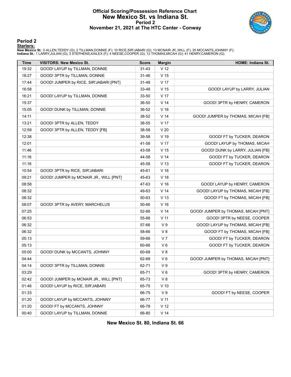## **Official Scoring/Possession Reference Chart New Mexico St. vs Indiana St. Period 2 November 21, 2021 at The HTC Center - Conway**



#### **Period 2**

#### **Starters:**

New Mexico St.: 0 ALLEN,TEDDY (G); 2 TILLMAN,DONNIE (F); 10 RICE,SIR'JABARI (G); 13 MCNAIR JR.,WILL (F); 35 MCCANTS,JOHNNY (F);<br>Indiana St.: 1 LARRY,JULIAN (G); 3 STEPHENS,KAILEX (F); 4 NEESE,COOPER (G); 12 THOMAS,MICAH (G

| Time  | <b>VISITORS: New Mexico St.</b>        | <b>Score</b> | <b>Margin</b>   | <b>HOME: Indiana St.</b>            |
|-------|----------------------------------------|--------------|-----------------|-------------------------------------|
| 19:32 | GOOD! LAYUP by TILLMAN, DONNIE         | $31 - 43$    | V <sub>12</sub> |                                     |
| 18:27 | GOOD! 3PTR by TILLMAN, DONNIE          | $31 - 46$    | V <sub>15</sub> |                                     |
| 17:44 | GOOD! JUMPER by RICE, SIR'JABARI [PNT] | 31-48        | V 17            |                                     |
| 16:58 |                                        | 33-48        | V 15            | GOOD! LAYUP by LARRY, JULIAN        |
| 16:21 | GOOD! LAYUP by TILLMAN, DONNIE         | 33-50        | V 17            |                                     |
| 15:37 |                                        | 36-50        | V <sub>14</sub> | GOOD! 3PTR by HENRY, CAMERON        |
| 15:05 | GOOD! DUNK by TILLMAN, DONNIE          | 36-52        | V <sub>16</sub> |                                     |
| 14:11 |                                        | 38-52        | V <sub>14</sub> | GOOD! JUMPER by THOMAS, MICAH [FB]  |
| 13:21 | GOOD! 3PTR by ALLEN, TEDDY             | 38-55        | V 17            |                                     |
| 12:59 | GOOD! 3PTR by ALLEN, TEDDY [FB]        | 38-58        | V <sub>20</sub> |                                     |
| 12:38 |                                        | 39-58        | $V$ 19          | GOOD! FT by TUCKER, DEARON          |
| 12:01 |                                        | 41-58        | V <sub>17</sub> | GOOD! LAYUP by THOMAS, MICAH        |
| 11:46 |                                        | 43-58        | V <sub>15</sub> | GOOD! DUNK by LARRY, JULIAN [FB]    |
| 11:16 |                                        | 44-58        | V <sub>14</sub> | GOOD! FT by TUCKER, DEARON          |
| 11:16 |                                        | 45-58        | V <sub>13</sub> | GOOD! FT by TUCKER, DEARON          |
| 10:54 | GOOD! 3PTR by RICE, SIR'JABARI         | 45-61        | V <sub>16</sub> |                                     |
| 09:21 | GOOD! JUMPER by MCNAIR JR., WILL [PNT] | 45-63        | V <sub>18</sub> |                                     |
| 08:58 |                                        | 47-63        | V <sub>16</sub> | GOOD! LAYUP by HENRY, CAMERON       |
| 08:32 |                                        | 49-63        | V <sub>14</sub> | GOOD! LAYUP by THOMAS, MICAH [FB]   |
| 08:32 |                                        | 50-63        | V <sub>13</sub> | GOOD! FT by THOMAS, MICAH [FB]      |
| 08:07 | GOOD! 3PTR by AVERY, MARCHELUS         | 50-66        | V <sub>16</sub> |                                     |
| 07:25 |                                        | 52-66        | V <sub>14</sub> | GOOD! JUMPER by THOMAS, MICAH [PNT] |
| 06:53 |                                        | 55-66        | $V$ 11          | GOOD! 3PTR by NEESE, COOPER         |
| 06:32 |                                        | 57-66        | V <sub>9</sub>  | GOOD! LAYUP by THOMAS, MICAH [FB]   |
| 06:32 |                                        | 58-66        | V8              | GOOD! FT by THOMAS, MICAH [FB]      |
| 05:13 |                                        | 59-66        | V <sub>7</sub>  | GOOD! FT by TUCKER, DEARON          |
| 05:13 |                                        | 60-66        | $V_6$           | GOOD! FT by TUCKER, DEARON          |
| 05:00 | GOOD! DUNK by MCCANTS, JOHNNY          | 60-68        | V8              |                                     |
| 04:44 |                                        | 62-68        | $V_6$           | GOOD! JUMPER by THOMAS, MICAH [PNT] |
| 04:14 | GOOD! 3PTR by TILLMAN, DONNIE          | 62-71        | V <sub>9</sub>  |                                     |
| 03:29 |                                        | 65-71        | $V_6$           | GOOD! 3PTR by HENRY, CAMERON        |
| 02:42 | GOOD! JUMPER by MCNAIR JR., WILL [PNT] | 65-73        | V8              |                                     |
| 01:46 | GOOD! LAYUP by RICE, SIR'JABARI        | 65-75        | $V$ 10          |                                     |
| 01:33 |                                        | 66-75        | V <sub>9</sub>  | GOOD! FT by NEESE, COOPER           |
| 01:20 | GOOD! LAYUP by MCCANTS, JOHNNY         | 66-77        | V <sub>11</sub> |                                     |
| 01:20 | GOOD! FT by MCCANTS, JOHNNY            | 66-78        | V <sub>12</sub> |                                     |
| 00:40 | GOOD! LAYUP by TILLMAN, DONNIE         | 66-80        | V <sub>14</sub> |                                     |

**New Mexico St. 80, Indiana St. 66**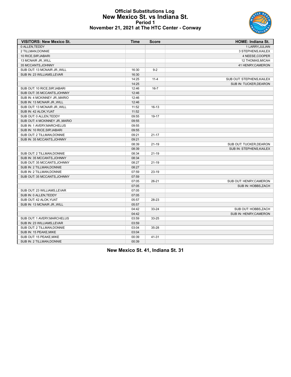## **Official Substitutions Log New Mexico St. vs Indiana St. Period 1 November 21, 2021 at The HTC Center - Conway**



| <b>VISITORS: New Mexico St.</b> | <b>Time</b> | <b>Score</b> | <b>HOME: Indiana St.</b>  |
|---------------------------------|-------------|--------------|---------------------------|
| 0 ALLEN.TEDDY                   |             |              | 1 LARRY.JULIAN            |
| 2 TILLMAN, DONNIE               |             |              | 3 STEPHENS, KAILEX        |
| 10 RICE, SIR'JABARI             |             |              | 4 NEESE, COOPER           |
| 13 MCNAIR JR., WILL             |             |              | <b>12 THOMAS, MICAH</b>   |
| 35 MCCANTS, JOHNNY              |             |              | 41 HENRY, CAMERON         |
| SUB OUT: 13 MCNAIR JR., WILL    | 16:30       | $9 - 2$      |                           |
| SUB IN: 23 WILLIAMS, LEVAR      | 16:30       |              |                           |
|                                 | 14:25       | $11 - 4$     | SUB OUT: STEPHENS, KAILEX |
|                                 | 14:25       |              | SUB IN: TUCKER, DEARON    |
| SUB OUT: 10 RICE, SIR'JABARI    | 12:46       | $16 - 7$     |                           |
| SUB OUT: 35 MCCANTS, JOHNNY     | 12:46       |              |                           |
| SUB IN: 4 MCKINNEY JR., MARIO   | 12:46       |              |                           |
| SUB IN: 13 MCNAIR JR., WILL     | 12:46       |              |                           |
| SUB OUT: 13 MCNAIR JR., WILL    | 11:52       | $16 - 13$    |                           |
| SUB IN: 42 ALOK, YUAT           | 11:52       |              |                           |
| SUB OUT: 0 ALLEN, TEDDY         | 09:55       | 19-17        |                           |
| SUB OUT: 4 MCKINNEY JR., MARIO  | 09:55       |              |                           |
| SUB IN: 1 AVERY, MARCHELUS      | 09:55       |              |                           |
| SUB IN: 10 RICE.SIR'JABARI      | 09:55       |              |                           |
| SUB OUT: 2 TILLMAN, DONNIE      | 09:21       | $21 - 17$    |                           |
| SUB IN: 35 MCCANTS, JOHNNY      | 09:21       |              |                           |
|                                 | 08:39       | $21 - 19$    | SUB OUT: TUCKER, DEARON   |
|                                 | 08:39       |              | SUB IN: STEPHENS, KAILEX  |
| SUB OUT: 2 TILLMAN, DONNIE      | 08:34       | $21 - 19$    |                           |
| SUB IN: 35 MCCANTS, JOHNNY      | 08:34       |              |                           |
| SUB OUT: 35 MCCANTS, JOHNNY     | 08:27       | $21 - 19$    |                           |
| SUB IN: 2 TILLMAN, DONNIE       | 08:27       |              |                           |
| SUB IN: 2 TILLMAN, DONNIE       | 07:59       | $23-19$      |                           |
| SUB OUT: 35 MCCANTS, JOHNNY     | 07:59       |              |                           |
|                                 | 07:05       | 26-21        | SUB OUT: HENRY, CAMERON   |
|                                 | 07:05       |              | SUB IN: HOBBS, ZACH       |
| SUB OUT: 23 WILLIAMS, LEVAR     | 07:05       |              |                           |
| SUB IN: 0 ALLEN, TEDDY          | 07:05       |              |                           |
| SUB OUT: 42 ALOK, YUAT          | 05:57       | 28-23        |                           |
| SUB IN: 13 MCNAIR JR., WILL     | 05:57       |              |                           |
|                                 | 04:42       | 33-24        | SUB OUT: HOBBS, ZACH      |
|                                 | 04:42       |              | SUB IN: HENRY.CAMERON     |
| SUB OUT: 1 AVERY, MARCHELUS     | 03:59       | 33-25        |                           |
| SUB IN: 23 WILLIAMS, LEVAR      | 03:59       |              |                           |
| SUB OUT: 2 TILLMAN, DONNIE      | 03:04       | $35 - 28$    |                           |
| SUB IN: 15 PEAKE, MIKE          | 03:04       |              |                           |
| SUB OUT: 15 PEAKE, MIKE         | 00:39       | 41-31        |                           |
| SUB IN: 2 TILLMAN, DONNIE       | 00:39       |              |                           |

**New Mexico St. 41, Indiana St. 31**